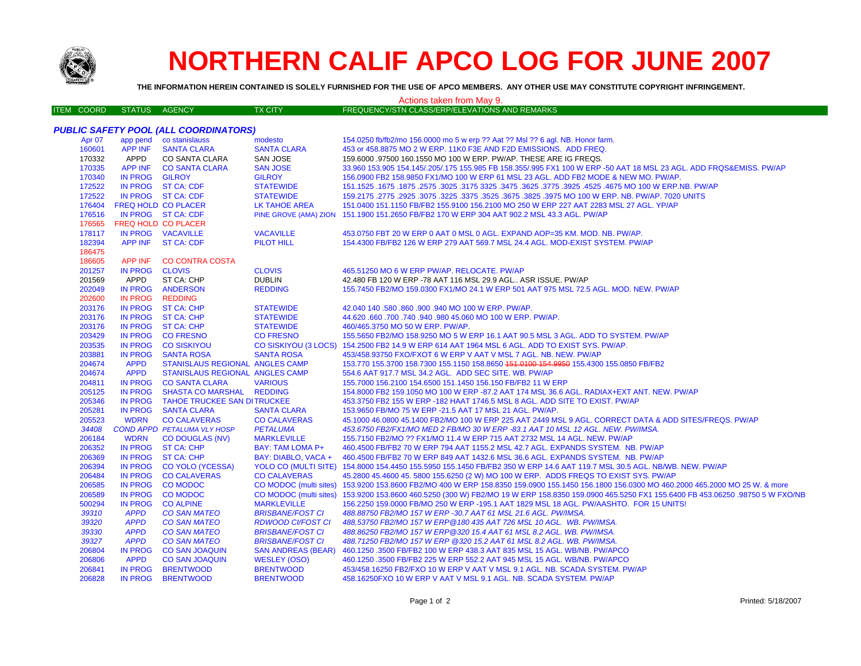

206585

206589

500294

39310

39320

39330

39327

206804

206806

206841

206828

**IN PROG** 

**IN PROG** 

**IN PROG** 

**APPD** 

**APPD** 

**APPD** 

**APPD** 

**IN PROG** 

**APPD** 

**IN PROG** 

**IN PROG** 

**CO MODOC** 

**CO MODOC** 

**CO ALPINE** 

**CO SAN MATEO** 

**CO SAN MATEO** 

**CO SAN MATEO** 

**CO SAN MATEO** 

**CO SAN JOAQUIN** 

**CO SAN JOAQUIN** 

**BRENTWOOD** 

**BRENTWOOD** 

**MARKLEVILLE** 

**BRISBANE/FOST CI** 

**BRISBANE/FOST CI** 

**BRISBANE/FOST CI** 

**WESLEY (OSO)** 

**BRENTWOOD** 

**BRENTWOOD** 

RDWOOD CI/FOST CI

**SAN ANDREAS (BEAR)** 

## **NORTHERN CALIF APCO LOG FOR JUNE 2007**

| <b>BATTI</b> O    | THE INFORMATION HEREIN CONTAINED IS SOLELY FURNISHED FOR THE USE OF APCO MEMBERS. ANY OTHER USE MAY CONSTITUTE COPYRIGHT INFRINGEMENT. |                                              |                         |                                                                                                                          |  |  |  |  |
|-------------------|----------------------------------------------------------------------------------------------------------------------------------------|----------------------------------------------|-------------------------|--------------------------------------------------------------------------------------------------------------------------|--|--|--|--|
|                   |                                                                                                                                        |                                              |                         | Actions taken from May 9.                                                                                                |  |  |  |  |
| <b>ITEM COORD</b> | <b>STATUS</b>                                                                                                                          | AGENCY                                       | <b>TX CITY</b>          | FREQUENCY/STN CLASS/ERP/ELEVATIONS AND REMARKS                                                                           |  |  |  |  |
|                   |                                                                                                                                        |                                              |                         |                                                                                                                          |  |  |  |  |
|                   |                                                                                                                                        | <b>PUBLIC SAFETY POOL (ALL COORDINATORS)</b> |                         |                                                                                                                          |  |  |  |  |
| Apr 07            |                                                                                                                                        | app pend co stanislauss                      | modesto                 | 154.0250 fb/fb2/mo 156.0000 mo 5 w erp ?? Aat ?? Msl ?? 6 agl. NB. Honor farm.                                           |  |  |  |  |
| 160601            |                                                                                                                                        | APP INF SANTA CLARA                          | <b>SANTA CLARA</b>      | 453 or 458,8875 MO 2 W ERP, 11K0 F3E AND F2D EMISSIONS. ADD FREQ.                                                        |  |  |  |  |
| 170332            | APPD                                                                                                                                   | CO SANTA CLARA                               | SAN JOSE                | 159,6000 .97500 160,1550 MO 100 W ERP. PW/AP. THESE ARE IG FREQS.                                                        |  |  |  |  |
| 170335            |                                                                                                                                        | APP INF CO SANTA CLARA                       | <b>SAN JOSE</b>         | 33.960 153.905 154.145/.205/.175 155.985 FB 158.355/.995 FX1 100 W ERP -50 AAT 18 MSL 23 AGL. ADD FRQS&EMISS. PW/AP      |  |  |  |  |
| 170340            | IN PROG GILROY                                                                                                                         |                                              | <b>GILROY</b>           | 156,0900 FB2 158,9850 FX1/MO 100 W ERP 61 MSL 23 AGL, ADD FB2 MODE & NEW MO, PW/AP.                                      |  |  |  |  |
| 172522            |                                                                                                                                        | IN PROG ST CA: CDF                           | <b>STATEWIDE</b>        | 151.1525 .1675 .1675 .3625 .3775 .3925 .3925 .3925 .3775 .3925 .3775 .3925 .4525 .1675 .1677 .1625 .1679 .167            |  |  |  |  |
| 172522            |                                                                                                                                        | IN PROG ST CA: CDF                           | <b>STATEWIDE</b>        | 159.2175 .2775 .2925 .3075 .3225 .3775 .3625 .3675 .3825 .3975 MO 100 W ERP. NB. PW/AP. 7020 UNITS                       |  |  |  |  |
| 176404            | FREQ HOLD CO PLACER                                                                                                                    |                                              | LK TAHOE AREA           | 151.0400 151.1150 FB/FB2 155.9100 156.2100 MO 250 W ERP 227 AAT 2283 MSL 27 AGL. YP/AP                                   |  |  |  |  |
| 176516            |                                                                                                                                        | IN PROG ST CA: CDF                           |                         | PINE GROVE (AMA) ZION 151.1900 151.2650 FB/FB2 170 W ERP 304 AAT 902.2 MSL 43.3 AGL. PW/AP                               |  |  |  |  |
| 176565            | FREQ HOLD CO PLACER                                                                                                                    |                                              |                         |                                                                                                                          |  |  |  |  |
| 178117            |                                                                                                                                        | IN PROG VACAVILLE                            | <b>VACAVILLE</b>        | 453.0750 FBT 20 W ERP 0 AAT 0 MSL 0 AGL. EXPAND AOP=35 KM. MOD. NB. PW/AP.                                               |  |  |  |  |
| 182394            |                                                                                                                                        | APP INF ST CA: CDF                           | <b>PILOT HILL</b>       | 154,4300 FB/FB2 126 W ERP 279 AAT 569.7 MSL 24.4 AGL, MOD-EXIST SYSTEM, PW/AP                                            |  |  |  |  |
| 186475            |                                                                                                                                        |                                              |                         |                                                                                                                          |  |  |  |  |
| 186605            |                                                                                                                                        | APP INF CO CONTRA COSTA                      |                         |                                                                                                                          |  |  |  |  |
| 201257            | IN PROG CLOVIS                                                                                                                         |                                              | <b>CLOVIS</b>           | 465.51250 MO 6 W ERP PW/AP, RELOCATE, PW/AP                                                                              |  |  |  |  |
| 201569            | APPD                                                                                                                                   | ST CA: CHP                                   | <b>DUBLIN</b>           | 42.480 FB 120 W ERP -78 AAT 116 MSL 29.9 AGL ASR ISSUE. PW/AP                                                            |  |  |  |  |
| 202049            |                                                                                                                                        | IN PROG ANDERSON                             | <b>REDDING</b>          | 155.7450 FB2/MO 159.0300 FX1/MO 24.1 W ERP 501 AAT 975 MSL 72.5 AGL, MOD, NEW, PW/AP                                     |  |  |  |  |
| 202600            | IN PROG REDDING                                                                                                                        |                                              |                         |                                                                                                                          |  |  |  |  |
| 203176            |                                                                                                                                        | IN PROG ST CA: CHP                           | <b>STATEWIDE</b>        | 42.040 140 .580 .860 .900 .940 MO 100 W ERP. PW/AP.                                                                      |  |  |  |  |
| 203176            |                                                                                                                                        | IN PROG ST CA: CHP                           | <b>STATEWIDE</b>        | 44.620 .660 .700 .740 .940 .980 45.060 MO 100 W ERP. PW/AP.                                                              |  |  |  |  |
| 203176            |                                                                                                                                        | IN PROG ST CA: CHP                           | <b>STATEWIDE</b>        | 460/465.3750 MO 50 W ERP. PW/AP.                                                                                         |  |  |  |  |
| 203429            |                                                                                                                                        | IN PROG CO FRESNO                            | <b>CO FRESNO</b>        | 155.5650 FB2/MO 158.9250 MO 5 W ERP 16.1 AAT 90.5 MSL 3 AGL. ADD TO SYSTEM. PW/AP                                        |  |  |  |  |
| 203535            |                                                                                                                                        | IN PROG CO SISKIYOU                          |                         | CO SISKIYOU (3 LOCS) 154.2500 FB2 14.9 W ERP 614 AAT 1964 MSL 6 AGL. ADD TO EXIST SYS. PW/AP.                            |  |  |  |  |
| 203881            |                                                                                                                                        | IN PROG SANTA ROSA                           | <b>SANTA ROSA</b>       | 453/458.93750 FXO/FXOT 6 W ERP V AAT V MSL 7 AGL. NB. NEW. PW/AP                                                         |  |  |  |  |
| 204674            | <b>APPD</b>                                                                                                                            | <b>STANISLAUS REGIONAL ANGLES CAMP</b>       |                         | 153.770 155.3700 158.7300 155.1150 158.8650 151.0100 154.9950 155.4300 155.0850 FB/FB2                                   |  |  |  |  |
| 204674            | <b>APPD</b>                                                                                                                            | STANISLAUS REGIONAL ANGLES CAMP              |                         | 554.6 AAT 917.7 MSL 34.2 AGL. ADD SEC SITE. WB. PW/AP                                                                    |  |  |  |  |
| 204811            |                                                                                                                                        | IN PROG CO SANTA CLARA                       | <b>VARIOUS</b>          | 155.7000 156.2100 154.6500 151.1450 156.150 FB/FB2 11 W ERP                                                              |  |  |  |  |
| 205125            |                                                                                                                                        | IN PROG SHASTA CO MARSHAL REDDING            |                         | 154.8000 FB2 159.1050 MO 100 W ERP -87.2 AAT 174 MSL 36.6 AGL, RADIAX+EXT ANT, NEW, PW/AP                                |  |  |  |  |
| 205346            |                                                                                                                                        | IN PROG TAHOE TRUCKEE SAN DITRUCKEE          |                         | 453.3750 FB2 155 W ERP -182 HAAT 1746.5 MSL 8 AGL. ADD SITE TO EXIST. PW/AP                                              |  |  |  |  |
| 205281            |                                                                                                                                        | IN PROG SANTA CLARA                          | <b>SANTA CLARA</b>      | 153,9650 FB/MO 75 W ERP -21.5 AAT 17 MSL 21 AGL. PW/AP.                                                                  |  |  |  |  |
| 205523            | <b>WDRN</b>                                                                                                                            | <b>CO CALAVERAS</b>                          | <b>CO CALAVERAS</b>     | 45,1000 46,0800 45,1400 FB2/MO 100 W ERP 225 AAT 2449 MSL 9 AGL. CORRECT DATA & ADD SITES/FREQS, PW/AP                   |  |  |  |  |
| 34408             |                                                                                                                                        | <b>COND APPD PETALUMA VLY HOSP</b>           | <b>PETALUMA</b>         | 453.6750 FB2/FX1/MO MED 2 FB/MO 30 W ERP -83.1 AAT 10 MSL 12 AGL. NEW. PW/IMSA.                                          |  |  |  |  |
| 206184            | <b>WDRN</b>                                                                                                                            | <b>CO DOUGLAS (NV)</b>                       | <b>MARKLEVILLE</b>      | 155.7150 FB2/MO ?? FX1/MO 11.4 W ERP 715 AAT 2732 MSL 14 AGL. NEW. PW/AP                                                 |  |  |  |  |
| 206352            |                                                                                                                                        | IN PROG ST CA: CHP                           | <b>BAY: TAM LOMA P+</b> | 460.4500 FB/FB2 70 W ERP 794 AAT 1155.2 MSL 42.7 AGL. EXPANDS SYSTEM. NB. PW/AP                                          |  |  |  |  |
| 206369            |                                                                                                                                        | IN PROG ST CA: CHP                           |                         | BAY: DIABLO, VACA + 460.4500 FB/FB2 70 W ERP 849 AAT 1432.6 MSL 36.6 AGL. EXPANDS SYSTEM. NB. PW/AP                      |  |  |  |  |
| 206394            |                                                                                                                                        | IN PROG CO YOLO (YCESSA)                     |                         | YOLO CO (MULTI SITE) 154.8000 154.4450 155.5950 155.1450 FB/FB2 350 W ERP 14.6 AAT 119.7 MSL 30.5 AGL. NB/WB. NEW. PW/AP |  |  |  |  |
| 206484            |                                                                                                                                        | IN PROG CO CALAVERAS                         | <b>CO CALAVERAS</b>     | 45.2800 45.4600 45.5800 155.6250 (2 W) MO 100 W ERP. ADDS FREQS TO EXIST SYS. PW/AP                                      |  |  |  |  |

488.88750 FB2/MO 157 W ERP -30.7 AAT 61 MSL 21.6 AGL. PW/IMSA.

488,53750 FB2/MO 157 W ERP@180 435 AAT 726 MSL 10 AGL. WB. PW/IMSA.

488.86250 FB2/MO 157 W ERP @320 15.4 AAT 61 MSL 8.2 AGL. WB. PW/IMSA.

488.71250 FB2/MO 157 W ERP @320 15.2 AAT 61 MSL 8.2 AGL, WB, PW/IMSA

458.16250FXO 10 W ERP V AAT V MSL 9.1 AGL. NB. SCADA SYSTEM. PW/AP

460.1250.3500 FB/FB2 100 W ERP 438.3 AAT 835 MSL 15 AGL, WB/NB, PW/APCO

460.1250.3500 FB/FB2 225 W ERP 552.2 AAT 945 MSL 15 AGL. WB/NB, PW/APCO

453/458.16250 FB2/FXO 10 W ERP V AAT V MSL 9.1 AGL. NB. SCADA SYSTEM. PW/AP

CO MODOC (multi sites) 153.9200 153.8600 FB2/MO 400 W ERP 158.8350 159.0900 155.1450 156.1800 156.0300 MO 460.2000 465.2000 MO 25 W. & more

156,2250 159,0000 FB/MO 250 W ERP -195,1 AAT 1829 MSL 18 AGL, PW/AASHTO, FOR 15 UNITS!

CO MODOC (multi sites) 153.9200 153.8600 460.5250 (300 W) FB2/MO 19 W ERP 158.8350 159.0900 465.5250 FX1 155.6400 FB 453.06250 .98750 5 W FXO/NB